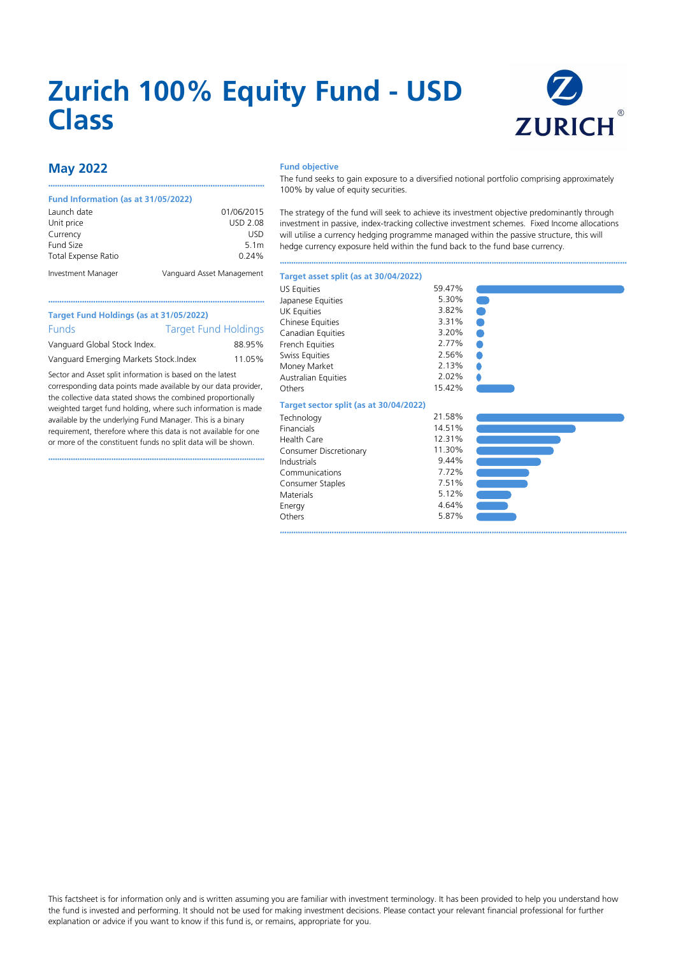# **Zurich 100% Equity Fund - USD Class**



# **May 2022**

### **Fund Information (as at 31/05/2022)**

the collective data stated shows the combined proportionally weighted target fund holding, where such information is made available by the underlying Fund Manager. This is a binary requirement, therefore where this data is not available for one or more of the constituent funds no split data will be shown. ••••••••••••••••••••••••••••••••••••••••••••••••••••••••••••••••••••••••••••••••••••••••••••••••

| Launch date                | 01/06/2015                |
|----------------------------|---------------------------|
| Unit price                 | <b>USD 2.08</b>           |
| Currency                   | USD                       |
| Fund Size                  | 5.1 <sub>m</sub>          |
| <b>Total Expense Ratio</b> | 0.24%                     |
| Investment Manager         | Vanguard Asset Management |

••••••••••••••••••••••••••••••••••••••••••••••••••••••••••••••••••••••••••••••••••••••••••••••••

## **Fund objective**

The fund seeks to gain exposure to a diversified notional portfolio comprising approximately 100% by value of equity securities.

The strategy of the fund will seek to achieve its investment objective predominantly through investment in passive, index-tracking collective investment schemes. Fixed Income allocations will utilise a currency hedging programme managed within the passive structure, this will hedge currency exposure held within the fund back to the fund base currency.

••••••••••••••••••••••••••••••••••••••••••••••••••••••••••••••••••••••••••••••••••••••••••••••••••••••••••••••••••••••••••••••••••••••••••••••••••••••••••

O Ċ  $\bullet$ Ċ

## **Target asset split (as at 30/04/2022)**

|                                                                | US Equities                                                                                                                | 59.47% |
|----------------------------------------------------------------|----------------------------------------------------------------------------------------------------------------------------|--------|
|                                                                | Japanese Equities                                                                                                          | 5.30%  |
|                                                                | <b>UK Equities</b>                                                                                                         | 3.82%  |
|                                                                | <b>Chinese Equities</b>                                                                                                    | 3.31%  |
|                                                                | Canadian Equities                                                                                                          | 3.20%  |
| 88.95%                                                         | French Equities                                                                                                            | 2.77%  |
|                                                                | Swiss Equities                                                                                                             | 2.56%  |
|                                                                | Money Market                                                                                                               | 2.13%  |
| Sector and Asset split information is based on the latest      | <b>Australian Equities</b>                                                                                                 | 2.02%  |
| corresponding data points made available by our data provider, | Others                                                                                                                     | 15.42% |
|                                                                | Target Fund Holdings (as at 31/05/2022)<br><b>Target Fund Holdings</b><br>Vanguard Emerging Markets Stock. Index<br>11.05% |        |

# **Target sector split (as at 30/04/2022)**

| Technology             | 21.58% |
|------------------------|--------|
| Financials             | 14.51% |
| Health Care            | 12.31% |
| Consumer Discretionary | 11.30% |
| Industrials            | 9.44%  |
| Communications         | 7.72%  |
| Consumer Staples       | 7.51%  |
| Materials              | 5.12%  |
| Energy                 | 4.64%  |
| Others                 | 5.87%  |
|                        |        |



## This factsheet is for information only and is written assuming you are familiar with investment terminology. It has been provided to help you understand how the fund is invested and performing. It should not be used for making investment decisions. Please contact your relevant financial professional for further explanation or advice if you want to know if this fund is, or remains, appropriate for you.